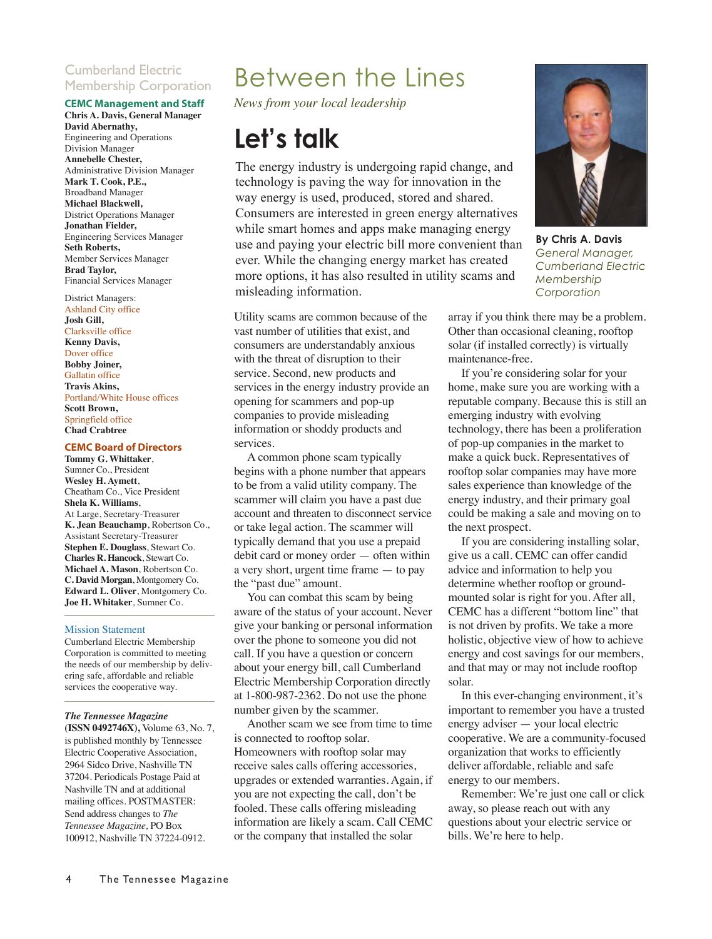### Cumberland Electric Membership Corporation

### **CEMC Management and Staff**

**Chris A. Davis, General Manager David Abernathy,** Engineering and Operations Division Manager **Annebelle Chester,** Administrative Division Manager **Mark T. Cook, P.E.,** Broadband Manager **Michael Blackwell,** District Operations Manager **Jonathan Fielder,**  Engineering Services Manager **Seth Roberts,** Member Services Manager **Brad Taylor,**  Financial Services Manager

### District Managers:

Ashland City office **Josh Gill,** Clarksville office **Kenny Davis,**  Dover office **Bobby Joiner,**  Gallatin office **Travis Akins,** Portland/White House offices **Scott Brown,**  Springfield office **Chad Crabtree**

#### **CEMC Board of Directors**

**Tommy G. Whittaker**, Sumner Co., President **Wesley H. Aymett**, Cheatham Co., Vice President **Shela K. Williams**, At Large, Secretary-Treasurer **K. Jean Beauchamp**, Robertson Co., Assistant Secretary-Treasurer **Stephen E. Douglass**, Stewart Co. **Charles R. Hancock**, Stewart Co. **Michael A. Mason**, Robertson Co. **C. David Morgan**, Montgomery Co. **Edward L. Oliver**, Montgomery Co. **Joe H. Whitaker**, Sumner Co.

#### Mission Statement

Cumberland Electric Membership Corporation is committed to meeting the needs of our membership by delivering safe, affordable and reliable services the cooperative way.

#### *The Tennessee Magazine*

**(ISSN 0492746X),** Volume 63, No. 7, is published monthly by Tennessee Electric Cooperative Association, 2964 Sidco Drive, Nashville TN 37204. Periodicals Postage Paid at Nashville TN and at additional mailing offices. POSTMASTER: Send address changes to *The Tennessee Magazine,* PO Box 100912, Nashville TN 37224-0912.

### Between the Lines

*News from your local leadership*

### **Let's talk**

The energy industry is undergoing rapid change, and technology is paving the way for innovation in the way energy is used, produced, stored and shared. Consumers are interested in green energy alternatives while smart homes and apps make managing energy use and paying your electric bill more convenient than ever. While the changing energy market has created more options, it has also resulted in utility scams and misleading information.

Utility scams are common because of the vast number of utilities that exist, and consumers are understandably anxious with the threat of disruption to their service. Second, new products and services in the energy industry provide an opening for scammers and pop-up companies to provide misleading information or shoddy products and services.

A common phone scam typically begins with a phone number that appears to be from a valid utility company. The scammer will claim you have a past due account and threaten to disconnect service or take legal action. The scammer will typically demand that you use a prepaid debit card or money order — often within a very short, urgent time frame — to pay the "past due" amount.

You can combat this scam by being aware of the status of your account. Never give your banking or personal information over the phone to someone you did not call. If you have a question or concern about your energy bill, call Cumberland Electric Membership Corporation directly at 1-800-987-2362. Do not use the phone number given by the scammer.

Another scam we see from time to time is connected to rooftop solar. Homeowners with rooftop solar may receive sales calls offering accessories, upgrades or extended warranties. Again, if you are not expecting the call, don't be fooled. These calls offering misleading information are likely a scam. Call CEMC or the company that installed the solar



**By Chris A. Davis** *General Manager, Cumberland Electric Membership Corporation*

array if you think there may be a problem. Other than occasional cleaning, rooftop solar (if installed correctly) is virtually maintenance-free.

If you're considering solar for your home, make sure you are working with a reputable company. Because this is still an emerging industry with evolving technology, there has been a proliferation of pop-up companies in the market to make a quick buck. Representatives of rooftop solar companies may have more sales experience than knowledge of the energy industry, and their primary goal could be making a sale and moving on to the next prospect.

If you are considering installing solar, give us a call. CEMC can offer candid advice and information to help you determine whether rooftop or groundmounted solar is right for you. After all, CEMC has a different "bottom line" that is not driven by profits. We take a more holistic, objective view of how to achieve energy and cost savings for our members, and that may or may not include rooftop solar.

In this ever-changing environment, it's important to remember you have a trusted energy adviser — your local electric cooperative. We are a community-focused organization that works to efficiently deliver affordable, reliable and safe energy to our members.

Remember: We're just one call or click away, so please reach out with any questions about your electric service or bills. We're here to help.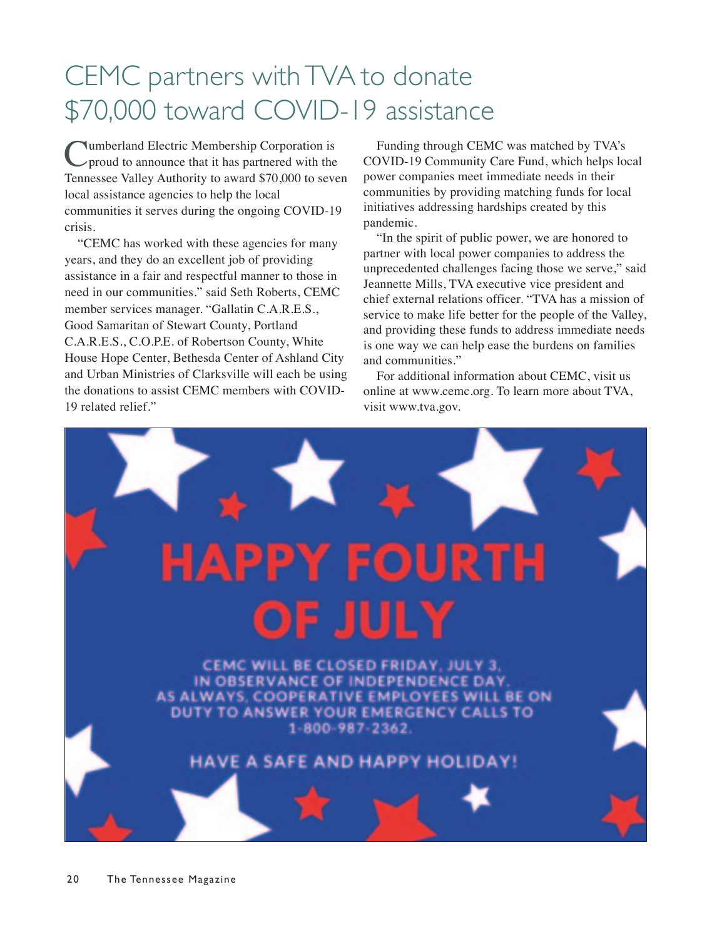## CEMC partners with TVA to donate \$70,000 toward COVID-19 assistance

**Numberland Electric Membership Corporation is** proud to announce that it has partnered with the Tennessee Valley Authority to award \$70,000 to seven local assistance agencies to help the local communities it serves during the ongoing COVID-19 crisis.

"CEMC has worked with these agencies for many years, and they do an excellent job of providing assistance in a fair and respectful manner to those in need in our communities." said Seth Roberts, CEMC member services manager. "Gallatin C.A.R.E.S., Good Samaritan of Stewart County, Portland C.A.R.E.S., C.O.P.E. of Robertson County, White House Hope Center, Bethesda Center of Ashland City and Urban Ministries of Clarksville will each be using the donations to assist CEMC members with COVID-19 related relief."

Funding through CEMC was matched by TVA's COVID-19 Community Care Fund, which helps local power companies meet immediate needs in their communities by providing matching funds for local initiatives addressing hardships created by this pandemic.

"In the spirit of public power, we are honored to partner with local power companies to address the unprecedented challenges facing those we serve," said Jeannette Mills, TVA executive vice president and chief external relations officer. "TVA has a mission of service to make life better for the people of the Valley, and providing these funds to address immediate needs is one way we can help ease the burdens on families and communities."

For additional information about CEMC, visit us online at www.cemc.org. To learn more about TVA, visit www.tva.gov.

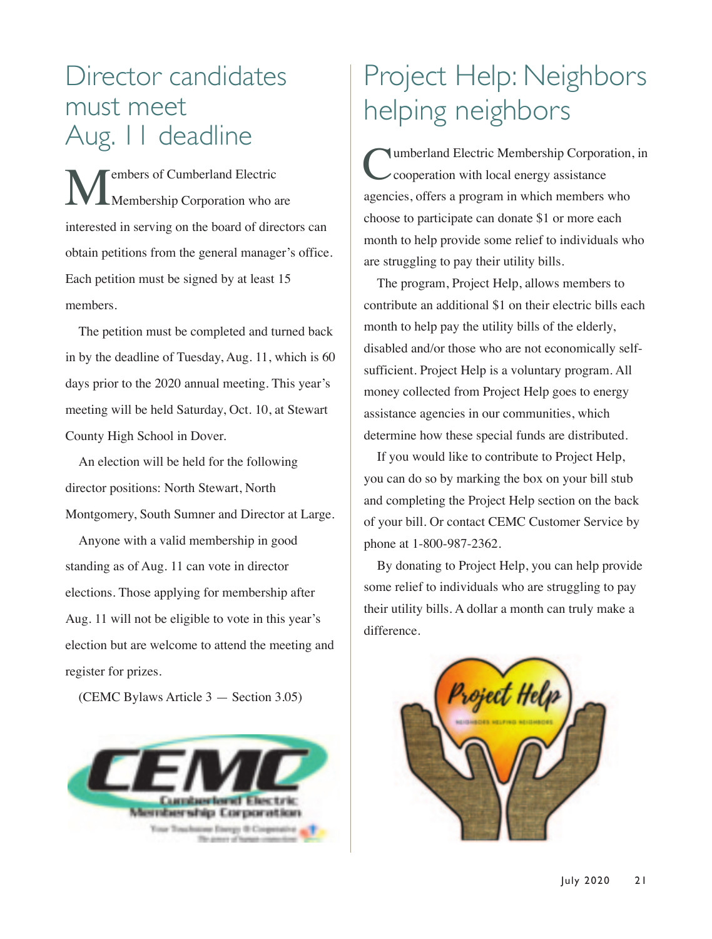### Director candidates must meet Aug. 11 deadline

**Members of Cumberland Electric**<br>Membership Corporation who a Membership Corporation who are interested in serving on the board of directors can obtain petitions from the general manager's office. Each petition must be signed by at least 15 members.

The petition must be completed and turned back in by the deadline of Tuesday, Aug. 11, which is 60 days prior to the 2020 annual meeting. This year's meeting will be held Saturday, Oct. 10, at Stewart County High School in Dover.

An election will be held for the following director positions: North Stewart, North Montgomery, South Sumner and Director at Large.

Anyone with a valid membership in good standing as of Aug. 11 can vote in director elections. Those applying for membership after Aug. 11 will not be eligible to vote in this year's election but are welcome to attend the meeting and register for prizes.

(CEMC Bylaws Article 3 — Section 3.05)



# Project Help: Neighbors helping neighbors

Cumberland Electric Membership Corporation, in cooperation with local energy assistance agencies, offers a program in which members who choose to participate can donate \$1 or more each month to help provide some relief to individuals who are struggling to pay their utility bills.

The program, Project Help, allows members to contribute an additional \$1 on their electric bills each month to help pay the utility bills of the elderly, disabled and/or those who are not economically selfsufficient. Project Help is a voluntary program. All money collected from Project Help goes to energy assistance agencies in our communities, which determine how these special funds are distributed.

If you would like to contribute to Project Help, you can do so by marking the box on your bill stub and completing the Project Help section on the back of your bill. Or contact CEMC Customer Service by phone at 1-800-987-2362.

By donating to Project Help, you can help provide some relief to individuals who are struggling to pay their utility bills. A dollar a month can truly make a difference.

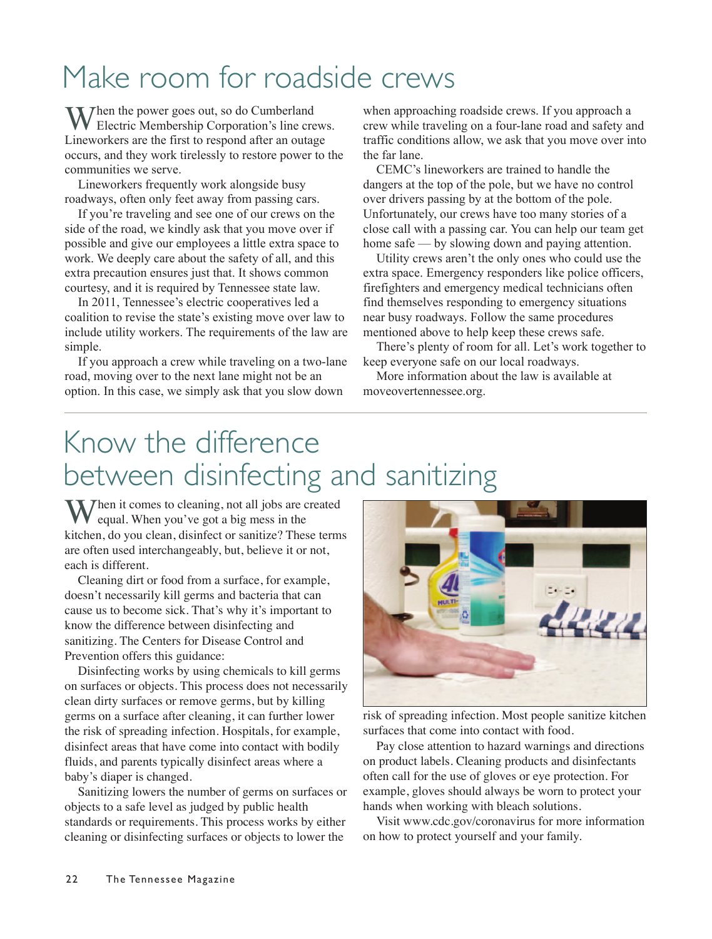# Make room for roadside crews

When the power goes out, so do Cumberland Electric Membership Corporation's line crews. Lineworkers are the first to respond after an outage occurs, and they work tirelessly to restore power to the communities we serve.

Lineworkers frequently work alongside busy roadways, often only feet away from passing cars.

If you're traveling and see one of our crews on the side of the road, we kindly ask that you move over if possible and give our employees a little extra space to work. We deeply care about the safety of all, and this extra precaution ensures just that. It shows common courtesy, and it is required by Tennessee state law.

In 2011, Tennessee's electric cooperatives led a coalition to revise the state's existing move over law to include utility workers. The requirements of the law are simple.

If you approach a crew while traveling on a two-lane road, moving over to the next lane might not be an option. In this case, we simply ask that you slow down

when approaching roadside crews. If you approach a crew while traveling on a four-lane road and safety and traffic conditions allow, we ask that you move over into the far lane.

CEMC's lineworkers are trained to handle the dangers at the top of the pole, but we have no control over drivers passing by at the bottom of the pole. Unfortunately, our crews have too many stories of a close call with a passing car. You can help our team get home safe — by slowing down and paying attention.

Utility crews aren't the only ones who could use the extra space. Emergency responders like police officers, firefighters and emergency medical technicians often find themselves responding to emergency situations near busy roadways. Follow the same procedures mentioned above to help keep these crews safe.

There's plenty of room for all. Let's work together to keep everyone safe on our local roadways.

More information about the law is available at moveovertennessee.org.

## Know the difference between disinfecting and sanitizing

When it comes to cleaning, not all jobs are created equal. When you've got a big mess in the kitchen, do you clean, disinfect or sanitize? These terms are often used interchangeably, but, believe it or not, each is different.

Cleaning dirt or food from a surface, for example, doesn't necessarily kill germs and bacteria that can cause us to become sick. That's why it's important to know the difference between disinfecting and sanitizing. The Centers for Disease Control and Prevention offers this guidance:

Disinfecting works by using chemicals to kill germs on surfaces or objects. This process does not necessarily clean dirty surfaces or remove germs, but by killing germs on a surface after cleaning, it can further lower the risk of spreading infection. Hospitals, for example, disinfect areas that have come into contact with bodily fluids, and parents typically disinfect areas where a baby's diaper is changed.

Sanitizing lowers the number of germs on surfaces or objects to a safe level as judged by public health standards or requirements. This process works by either cleaning or disinfecting surfaces or objects to lower the



risk of spreading infection. Most people sanitize kitchen surfaces that come into contact with food.

Pay close attention to hazard warnings and directions on product labels. Cleaning products and disinfectants often call for the use of gloves or eye protection. For example, gloves should always be worn to protect your hands when working with bleach solutions.

Visit www.cdc.gov/coronavirus for more information on how to protect yourself and your family.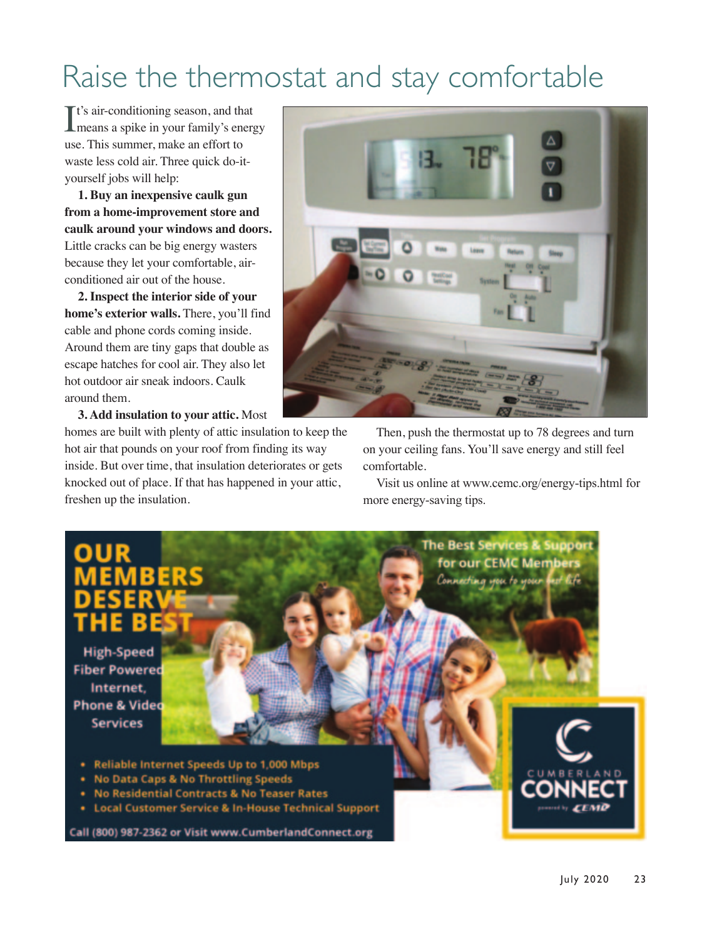# Raise the thermostat and stay comfortable

It's air-conditioning season, and that<br>means a spike in your family's energy **T**t's air-conditioning season, and that use. This summer, make an effort to waste less cold air. Three quick do-ityourself jobs will help:

**1. Buy an inexpensive caulk gun from a home-improvement store and caulk around your windows and doors.** Little cracks can be big energy wasters because they let your comfortable, airconditioned air out of the house.

**2. Inspect the interior side of your home's exterior walls.** There, you'll find cable and phone cords coming inside. Around them are tiny gaps that double as escape hatches for cool air. They also let hot outdoor air sneak indoors. Caulk around them.

**3. Add insulation to your attic.** Most

homes are built with plenty of attic insulation to keep the hot air that pounds on your roof from finding its way inside. But over time, that insulation deteriorates or gets knocked out of place. If that has happened in your attic, freshen up the insulation.



Then, push the thermostat up to 78 degrees and turn on your ceiling fans. You'll save energy and still feel comfortable.

Visit us online at www.cemc.org/energy-tips.html for more energy-saving tips.

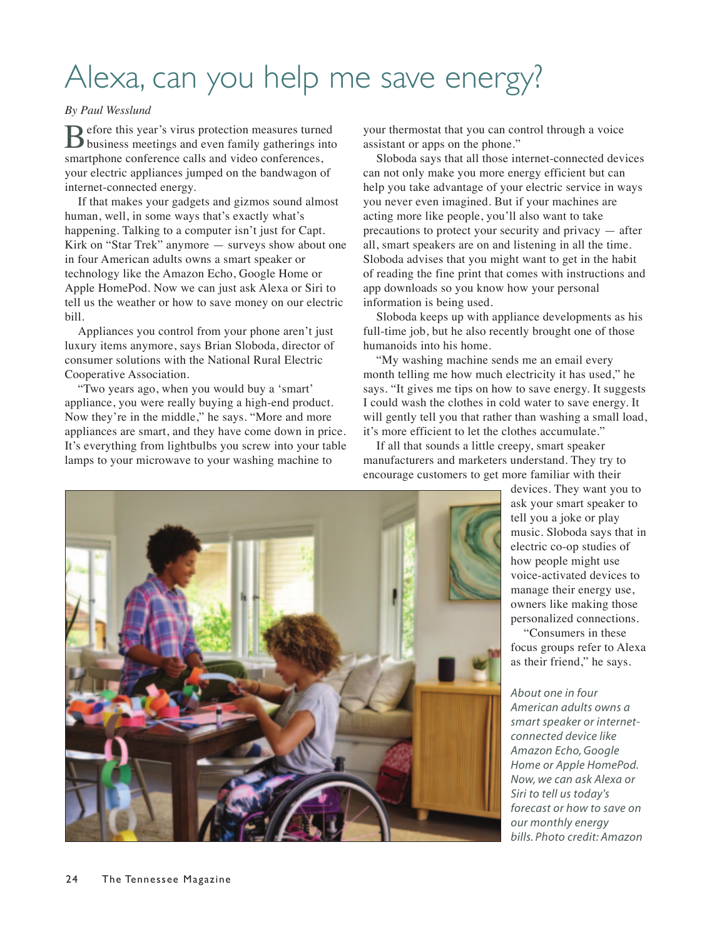# Alexa, can you help me save energy?

### *By Paul Wesslund*

Before this year's virus protection measures turned business meetings and even family gatherings into smartphone conference calls and video conferences, your electric appliances jumped on the bandwagon of internet-connected energy.

If that makes your gadgets and gizmos sound almost human, well, in some ways that's exactly what's happening. Talking to a computer isn't just for Capt. Kirk on "Star Trek" anymore — surveys show about one in four American adults owns a smart speaker or technology like the Amazon Echo, Google Home or Apple HomePod. Now we can just ask Alexa or Siri to tell us the weather or how to save money on our electric bill.

Appliances you control from your phone aren't just luxury items anymore, says Brian Sloboda, director of consumer solutions with the National Rural Electric Cooperative Association.

"Two years ago, when you would buy a 'smart' appliance, you were really buying a high-end product. Now they're in the middle," he says. "More and more appliances are smart, and they have come down in price. It's everything from lightbulbs you screw into your table lamps to your microwave to your washing machine to

your thermostat that you can control through a voice assistant or apps on the phone."

Sloboda says that all those internet-connected devices can not only make you more energy efficient but can help you take advantage of your electric service in ways you never even imagined. But if your machines are acting more like people, you'll also want to take precautions to protect your security and privacy — after all, smart speakers are on and listening in all the time. Sloboda advises that you might want to get in the habit of reading the fine print that comes with instructions and app downloads so you know how your personal information is being used.

Sloboda keeps up with appliance developments as his full-time job, but he also recently brought one of those humanoids into his home.

"My washing machine sends me an email every month telling me how much electricity it has used," he says. "It gives me tips on how to save energy. It suggests I could wash the clothes in cold water to save energy. It will gently tell you that rather than washing a small load, it's more efficient to let the clothes accumulate."

If all that sounds a little creepy, smart speaker manufacturers and marketers understand. They try to encourage customers to get more familiar with their



"Consumers in these focus groups refer to Alexa as their friend," he says.

*About one in four American adults owns a smart speaker or internetconnected device like Amazon Echo, Google Home or Apple HomePod. Now, we can ask Alexa or Siri to tell us today's forecast or how to save on our monthly energy bills. Photo credit: Amazon*